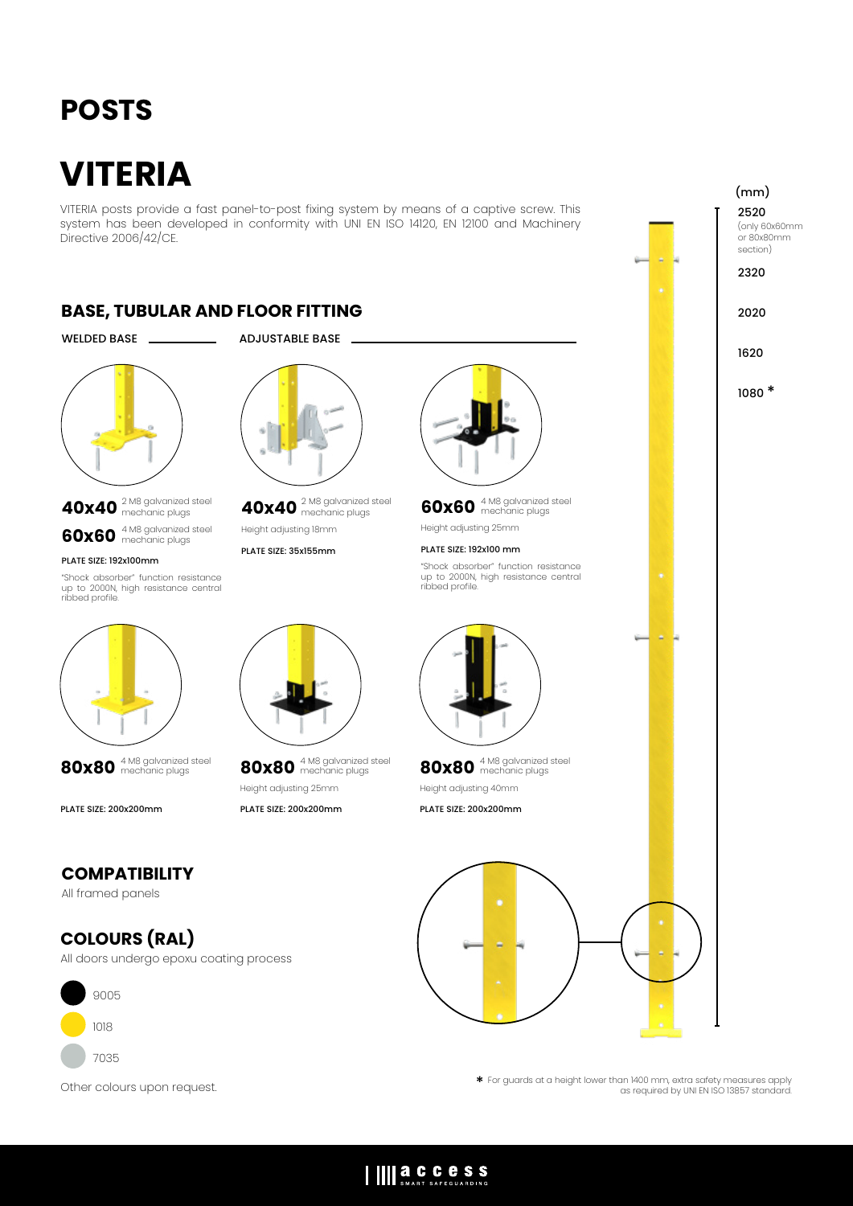## **POSTS**

# **VITERIA**

VITERIA posts provide a fast panel-to-post fixing system by means of a captive screw. This system has been developed in conformity with UNI EN ISO 14120, EN 12100 and Machinery Directive 2006/42/CE.

### **BASE, TUBULAR AND FLOOR FITTING**

#### WELDED BASE ADJUSTABLE BASE



## **40x40** 2 M8 galvanized steel mechanic plugs **60x60** 4 M8 galvanized steel mechanic plugs

#### PLATE SIZE: 192x100mm

"Shock absorber" function resistance up to 2000N, high resistance central ribbed profile.





PLATE SIZE: 200x200mm



**40x40** 2 M8 galvanized steel mechanic plugs

Height adjusting 18mm

#### PLATE SIZE: 35x155mm



**60x60** 4 M8 galvanized steel mechanic plugs

Height adjusting 25mm

#### PLATE SIZE: 192x100 mm

"Shock absorber" function resistance up to 2000N, high resistance central ribbed profile.



**80x80** 4 M8 galvanized steel mechanic plugs Height adjusting 40mm

PLATE SIZE: 200x200mm



2520 (only 60x60mm (mm)

or 80x80mm section)

2320

2020

1620

1080 \*



**80x80** 4 M8 galvanized steel mechanic plugs Height adjusting 25mm

PLATE SIZE: 200x200mm

#### **COMPATIBILITY** All framed panels

## **COLOURS (RAL)**

All doors undergo epoxu coating process



Other colours upon request.

\* For guards at a height lower than 1400 mm, extra safety measures apply as required by UNI EN ISO 13857 standard.